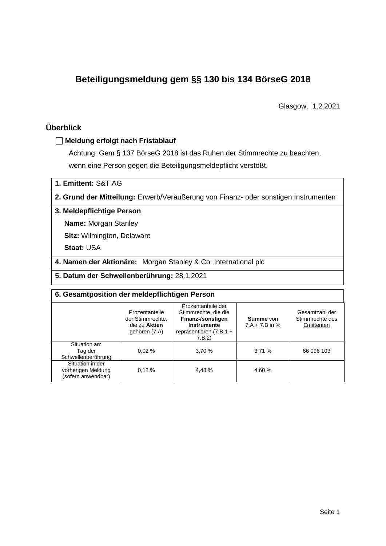# **Beteiligungsmeldung gem §§ 130 bis 134 BörseG 2018**

Glasgow, 1.2.2021

## **Überblick**

## **Meldung erfolgt nach Fristablauf**

Achtung: Gem § 137 BörseG 2018 ist das Ruhen der Stimmrechte zu beachten, wenn eine Person gegen die Beteiligungsmeldepflicht verstößt.

**1. Emittent:** S&T AG

**2. Grund der Mitteilung:** Erwerb/Veräußerung von Finanz- oder sonstigen Instrumenten

## **3. Meldepflichtige Person**

**Name:** Morgan Stanley

**Sitz:** Wilmington, Delaware

**Staat:** USA

**4. Namen der Aktionäre:** Morgan Stanley & Co. International plc

**5. Datum der Schwellenberührung:** 28.1.2021

| 6. Gesamtposition der meldepflichtigen Person                |                                                                      |                                                                                                                    |                                      |                                                 |  |  |  |
|--------------------------------------------------------------|----------------------------------------------------------------------|--------------------------------------------------------------------------------------------------------------------|--------------------------------------|-------------------------------------------------|--|--|--|
|                                                              | Prozentanteile<br>der Stimmrechte.<br>die zu Aktien<br>gehören (7.A) | Prozentanteile der<br>Stimmrechte, die die<br>Finanz-/sonstigen<br>Instrumente<br>repräsentieren (7.B.1 +<br>7.B.2 | <b>Summe</b> von<br>$7.A + 7.B$ in % | Gesamtzahl der<br>Stimmrechte des<br>Emittenten |  |  |  |
| Situation am<br>Tag der<br>Schwellenberührung                | 0.02%                                                                | 3,70 %                                                                                                             | 3,71%                                | 66 096 103                                      |  |  |  |
| Situation in der<br>vorherigen Meldung<br>(sofern anwendbar) | 0.12%                                                                | 4.48%                                                                                                              | 4.60%                                |                                                 |  |  |  |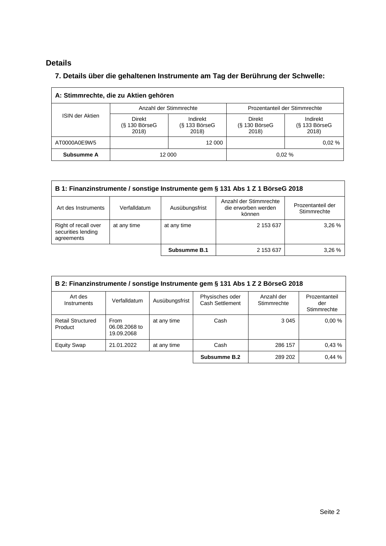# **Details**

## **7. Details über die gehaltenen Instrumente am Tag der Berührung der Schwelle:**

| A: Stimmrechte, die zu Aktien gehören |                                           |                                      |                                           |                                      |  |  |  |
|---------------------------------------|-------------------------------------------|--------------------------------------|-------------------------------------------|--------------------------------------|--|--|--|
|                                       |                                           | Anzahl der Stimmrechte               | Prozentanteil der Stimmrechte             |                                      |  |  |  |
| <b>ISIN der Aktien</b>                | <b>Direkt</b><br>$(S$ 130 BörseG<br>2018) | Indirekt<br>$(S$ 133 BörseG<br>2018) | <b>Direkt</b><br>$(S$ 130 BörseG<br>2018) | Indirekt<br>$(S$ 133 BörseG<br>2018) |  |  |  |
| AT0000A0E9W5                          |                                           | 12 000                               |                                           | 0.02%                                |  |  |  |
| Subsumme A                            |                                           | 12 000                               |                                           | 0.02%                                |  |  |  |

| B 1: Finanzinstrumente / sonstige Instrumente gem § 131 Abs 1 Z 1 BörseG 2018                                 |              |                |                                                         |                                  |  |  |
|---------------------------------------------------------------------------------------------------------------|--------------|----------------|---------------------------------------------------------|----------------------------------|--|--|
| Art des Instruments                                                                                           | Verfalldatum | Ausübungsfrist | Anzahl der Stimmrechte<br>die erworben werden<br>können | Prozentanteil der<br>Stimmrechte |  |  |
| 3.26 %<br>Right of recall over<br>2 153 637<br>at any time<br>at any time<br>securities lending<br>agreements |              |                |                                                         |                                  |  |  |
|                                                                                                               |              | Subsumme B.1   | 2 153 637                                               | 3.26%                            |  |  |

| B 2: Finanzinstrumente / sonstige Instrumente gem § 131 Abs 1 Z 2 BörseG 2018 |                                     |                |                                    |                           |                                     |  |
|-------------------------------------------------------------------------------|-------------------------------------|----------------|------------------------------------|---------------------------|-------------------------------------|--|
| Art des<br>Instruments                                                        | Verfalldatum                        | Ausübungsfrist | Physisches oder<br>Cash Settlement | Anzahl der<br>Stimmrechte | Prozentanteil<br>der<br>Stimmrechte |  |
| <b>Retail Structured</b><br>Product                                           | From<br>06.08.2068 to<br>19.09.2068 | at any time    | Cash                               | 3 0 4 5                   | 0.00%                               |  |
| <b>Equity Swap</b>                                                            | 21.01.2022                          | at any time    | Cash                               | 286 157                   | 0.43%                               |  |
|                                                                               |                                     |                | Subsumme B.2                       | 289 202                   | 0,44%                               |  |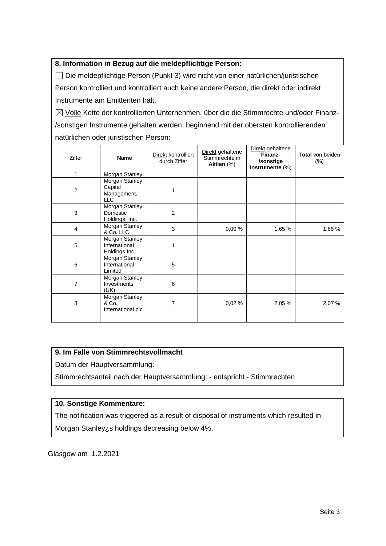## **8. Information in Bezug auf die meldepflichtige Person:**

Die meldepflichtige Person (Punkt 3) wird nicht von einer natürlichen/juristischen Person kontrolliert und kontrolliert auch keine andere Person, die direkt oder indirekt Instrumente am Emittenten hält.

 $\boxtimes$  Volle Kette der kontrollierten Unternehmen, über die die Stimmrechte und/oder Finanz-/sonstigen Instrumente gehalten werden, beginnend mit der obersten kontrollierenden natürlichen oder juristischen Person:

| Ziffer         | <b>Name</b>                                     | Direkt kontrolliert<br>durch Ziffer | Direkt gehaltene<br>Stimmrechte in<br>Aktien (%) | Direkt gehaltene<br>Finanz-<br>/sonstige<br>Instrumente $(\%)$ | <b>Total</b> von beiden<br>$(\%)$ |
|----------------|-------------------------------------------------|-------------------------------------|--------------------------------------------------|----------------------------------------------------------------|-----------------------------------|
| 1              | Morgan Stanley                                  |                                     |                                                  |                                                                |                                   |
| $\overline{2}$ | Morgan Stanley<br>Capital<br>Management,<br>LLC |                                     |                                                  |                                                                |                                   |
| 3              | Morgan Stanley<br>Domestic<br>Holdings, Inc.    | 2                                   |                                                  |                                                                |                                   |
| 4              | Morgan Stanley<br>& Co. LLC                     | 3                                   | 0,00%                                            | 1,65 %                                                         | 1,65 %                            |
| 5              | Morgan Stanley<br>International<br>Holdings Inc | 1                                   |                                                  |                                                                |                                   |
| 6              | Morgan Stanley<br>International<br>Limited      | 5                                   |                                                  |                                                                |                                   |
| 7              | Morgan Stanley<br>Investments<br>(UK)           | 6                                   |                                                  |                                                                |                                   |
| 8              | Morgan Stanley<br>& Co.<br>International plc    | 7                                   | 0,02%                                            | 2,05 %                                                         | 2,07%                             |
|                |                                                 |                                     |                                                  |                                                                |                                   |

## **9. Im Falle von Stimmrechtsvollmacht**

Datum der Hauptversammlung: -

Stimmrechtsanteil nach der Hauptversammlung: - entspricht - Stimmrechten

## **10. Sonstige Kommentare:**

The notification was triggered as a result of disposal of instruments which resulted in Morgan Stanley¿s holdings decreasing below 4%.

Glasgow am 1.2.2021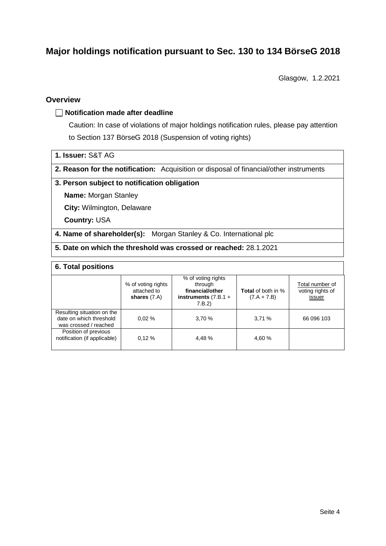# **Major holdings notification pursuant to Sec. 130 to 134 BörseG 2018**

Glasgow, 1.2.2021

#### **Overview**

#### **Notification made after deadline**

Caution: In case of violations of major holdings notification rules, please pay attention to Section 137 BörseG 2018 (Suspension of voting rights)

- **1. Issuer:** S&T AG
- **2. Reason for the notification:** Acquisition or disposal of financial/other instruments

#### **3. Person subject to notification obligation**

**Name:** Morgan Stanley

**City:** Wilmington, Delaware

**Country:** USA

- **4. Name of shareholder(s):** Morgan Stanley & Co. International plc
- **5. Date on which the threshold was crossed or reached:** 28.1.2021

#### **6. Total positions**

|                                                                                | % of voting rights<br>attached to<br>shares $(7.A)$ | % of voting rights<br>through<br>financial/other<br>instruments $(7.B.1 +$<br>7.B.2 | <b>Total</b> of both in %<br>$(7.A + 7.B)$ | Total number of<br>voting rights of<br>issuer |
|--------------------------------------------------------------------------------|-----------------------------------------------------|-------------------------------------------------------------------------------------|--------------------------------------------|-----------------------------------------------|
| Resulting situation on the<br>date on which threshold<br>was crossed / reached | 0.02%                                               | 3,70%                                                                               | 3,71%                                      | 66 096 103                                    |
| Position of previous<br>notification (if applicable)                           | 0.12%                                               | 4.48 %                                                                              | 4,60 %                                     |                                               |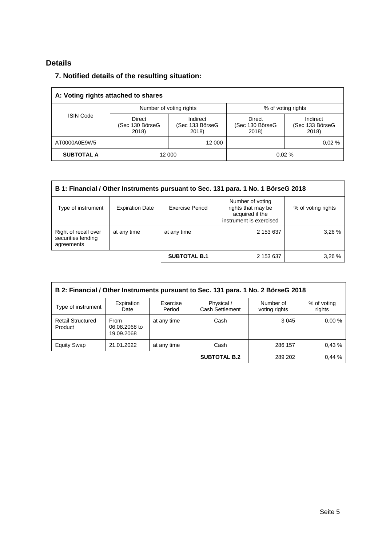# **Details**

## **7. Notified details of the resulting situation:**

| A: Voting rights attached to shares |                                    |                                      |                                           |                                      |  |  |  |
|-------------------------------------|------------------------------------|--------------------------------------|-------------------------------------------|--------------------------------------|--|--|--|
|                                     |                                    | Number of voting rights              |                                           | % of voting rights                   |  |  |  |
| <b>ISIN Code</b>                    | Direct<br>(Sec 130 BörseG<br>2018) | Indirect<br>(Sec 133 BörseG<br>2018) | <b>Direct</b><br>(Sec 130 BörseG<br>2018) | Indirect<br>(Sec 133 BörseG<br>2018) |  |  |  |
| AT0000A0E9W5                        |                                    | 12 000                               |                                           | 0.02%                                |  |  |  |
| <b>SUBTOTAL A</b>                   |                                    | 12 000                               |                                           | 0.02%                                |  |  |  |

| B 1: Financial / Other Instruments pursuant to Sec. 131 para. 1 No. 1 BörseG 2018 |                        |                     |                                                                                      |                    |  |  |
|-----------------------------------------------------------------------------------|------------------------|---------------------|--------------------------------------------------------------------------------------|--------------------|--|--|
| Type of instrument                                                                | <b>Expiration Date</b> | Exercise Period     | Number of voting<br>rights that may be<br>acquired if the<br>instrument is exercised | % of voting rights |  |  |
| Right of recall over<br>securities lending<br>agreements                          | at any time            | at any time         | 2 153 637                                                                            | 3,26%              |  |  |
|                                                                                   |                        | <b>SUBTOTAL B.1</b> | 2 153 637                                                                            | 3,26%              |  |  |

| B 2: Financial / Other Instruments pursuant to Sec. 131 para. 1 No. 2 BörseG 2018 |                                            |                    |                               |                            |                       |  |
|-----------------------------------------------------------------------------------|--------------------------------------------|--------------------|-------------------------------|----------------------------|-----------------------|--|
| Type of instrument                                                                | Expiration<br>Date                         | Exercise<br>Period | Physical /<br>Cash Settlement | Number of<br>voting rights | % of voting<br>rights |  |
| <b>Retail Structured</b><br>Product                                               | <b>From</b><br>06.08.2068 to<br>19.09.2068 | at any time        | Cash                          | 3 0 4 5                    | 0.00%                 |  |
| <b>Equity Swap</b>                                                                | 21.01.2022                                 | at any time        | Cash                          | 286 157                    | 0.43%                 |  |
|                                                                                   |                                            |                    | <b>SUBTOTAL B.2</b>           | 289 202                    | 0.44%                 |  |